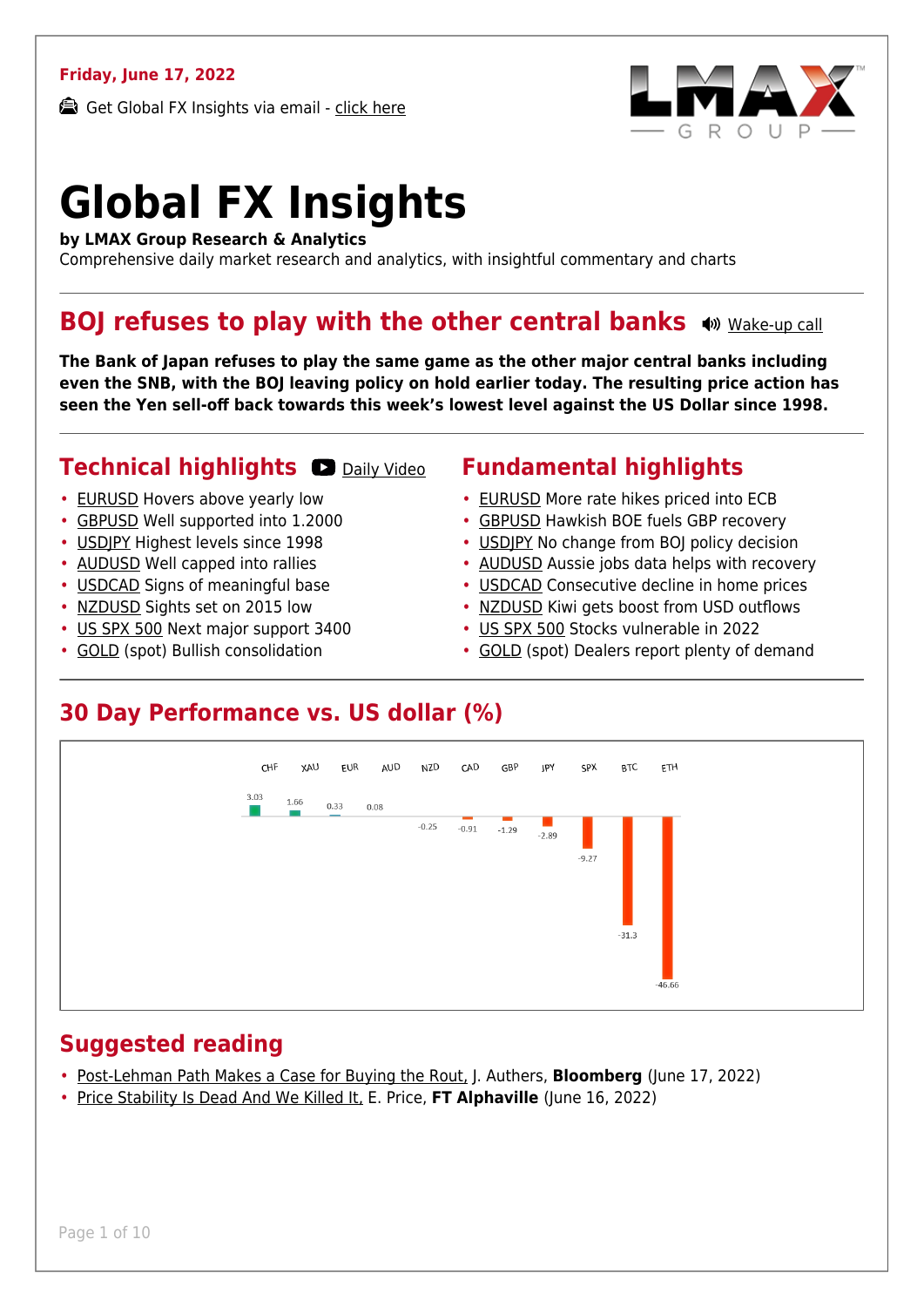### **Friday, June 17, 2022**

Get Global FX Insights via email - [click here](https://www.lmax.com/blog/global-fx-insights/sign-up/?src=gfxipdf)



# **Global FX Insights**

**by LMAX Group Research & Analytics**

Comprehensive daily market research and analytics, with insightful commentary and charts

### **BOJ refuses to play with the other central banks**  $\bullet$  **wide-up call**

**The Bank of Japan refuses to play the same game as the other major central banks including even the SNB, with the BOJ leaving policy on hold earlier today. The resulting price action has seen the Yen sell-off back towards this week's lowest level against the US Dollar since 1998.**

### **Technical highlights CO** [Daily Video](https://www.lmax.com/blog/global-fx-insights/2022/06/17/boj-refuses-to-play-with-the-other-central-banks/?utm_source=GlobalFXInsights-Newsletter&utm_medium=Email&utm_campaign=GlobalFXInsights&popup=watch#charttalk-53914)

- [EURUSD](#page-1-0) Hovers above yearly low
- [GBPUSD](#page-2-0) Well supported into 1.2000
- [USDJPY](#page-3-0) Highest levels since 1998
- [AUDUSD](#page-4-0) Well capped into rallies
- [USDCAD](#page-5-0) Signs of meaningful base
- [NZDUSD](#page-6-0) Sights set on 2015 low
- [US SPX 500](#page-7-0) Next major support 3400
- [GOLD](#page-8-0) (spot) Bullish consolidation

### **Fundamental highlights**

- [EURUSD](#page-1-1) More rate hikes priced into ECB
- [GBPUSD](#page-2-1) Hawkish BOE fuels GBP recovery
- USDIPY No change from BOI policy decision
- [AUDUSD](#page-4-1) Aussie jobs data helps with recovery
- [USDCAD](#page-5-1) Consecutive decline in home prices
- [NZDUSD](#page-6-1) Kiwi gets boost from USD outflows
- [US SPX 500](#page-7-1) Stocks vulnerable in 2022
- [GOLD](#page-8-1) (spot) Dealers report plenty of demand

### **30 Day Performance vs. US dollar (%)**



### **Suggested reading**

- [Post-Lehman Path Makes a Case for Buying the Rout,](https://www.lmax.com/blog/global-fx-insights/2022/06/17/boj-refuses-to-play-with-the-other-central-banks/?read=https://www.bloomberg.com/opinion/articles/2022-06-17/post-lehman-recovery-makes-contrarian-case-for-buying-stocks) J. Authers, **Bloomberg** (June 17, 2022)
- [Price Stability Is Dead And We Killed It,](https://www.lmax.com/blog/global-fx-insights/2022/06/17/boj-refuses-to-play-with-the-other-central-banks/?read=https://www.ft.com/content/8c6481d5-4511-459e-af92-2d13277c8650) E. Price, **FT Alphaville** (June 16, 2022)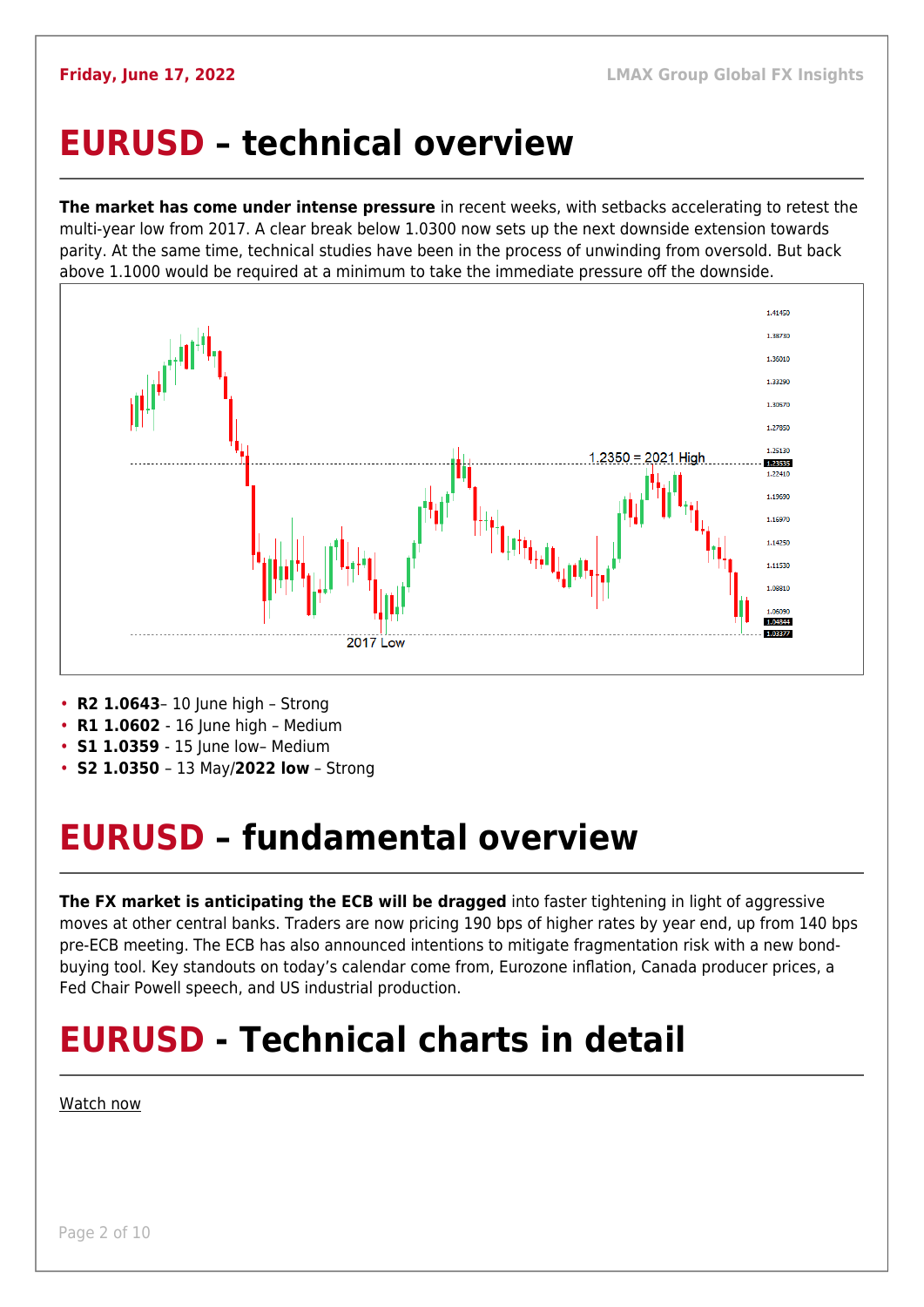### <span id="page-1-0"></span>**EURUSD – technical overview**

**The market has come under intense pressure** in recent weeks, with setbacks accelerating to retest the multi-year low from 2017. A clear break below 1.0300 now sets up the next downside extension towards parity. At the same time, technical studies have been in the process of unwinding from oversold. But back above 1.1000 would be required at a minimum to take the immediate pressure off the downside.



- **R2 1.0643** 10 June high Strong
- **R1 1.0602** 16 June high Medium
- **S1 1.0359** 15 June low- Medium
- **S2 1.0350**  13 May/**2022 low** Strong

## <span id="page-1-1"></span>**EURUSD – fundamental overview**

**The FX market is anticipating the ECB will be dragged** into faster tightening in light of aggressive moves at other central banks. Traders are now pricing 190 bps of higher rates by year end, up from 140 bps pre-ECB meeting. The ECB has also announced intentions to mitigate fragmentation risk with a new bondbuying tool. Key standouts on today's calendar come from, Eurozone inflation, Canada producer prices, a Fed Chair Powell speech, and US industrial production.

## **EURUSD - Technical charts in detail**

### [Watch now](https://youtu.be/1s_gNAwnbnA)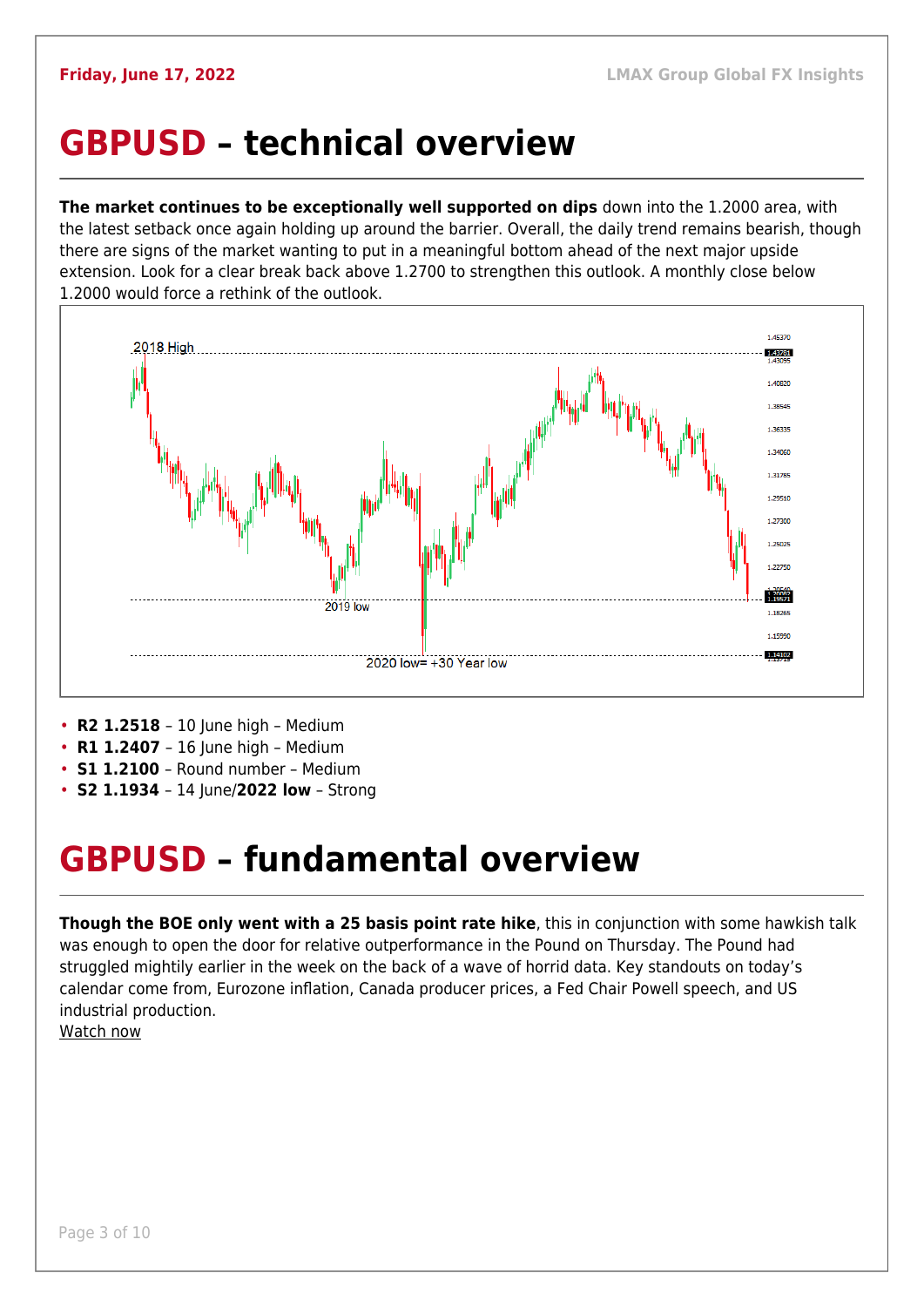### <span id="page-2-0"></span>**GBPUSD – technical overview**

**The market continues to be exceptionally well supported on dips** down into the 1.2000 area, with the latest setback once again holding up around the barrier. Overall, the daily trend remains bearish, though there are signs of the market wanting to put in a meaningful bottom ahead of the next major upside extension. Look for a clear break back above 1.2700 to strengthen this outlook. A monthly close below 1.2000 would force a rethink of the outlook.



- **R2 1.2518** 10 June high Medium
- **R1 1.2407** 16 June high Medium
- **S1 1.2100**  Round number Medium
- **S2 1.1934**  14 June/**2022 low** Strong

### <span id="page-2-1"></span>**GBPUSD – fundamental overview**

**Though the BOE only went with a 25 basis point rate hike**, this in conjunction with some hawkish talk was enough to open the door for relative outperformance in the Pound on Thursday. The Pound had struggled mightily earlier in the week on the back of a wave of horrid data. Key standouts on today's calendar come from, Eurozone inflation, Canada producer prices, a Fed Chair Powell speech, and US industrial production.

[Watch now](https://youtu.be/GxHVYmz0ISI)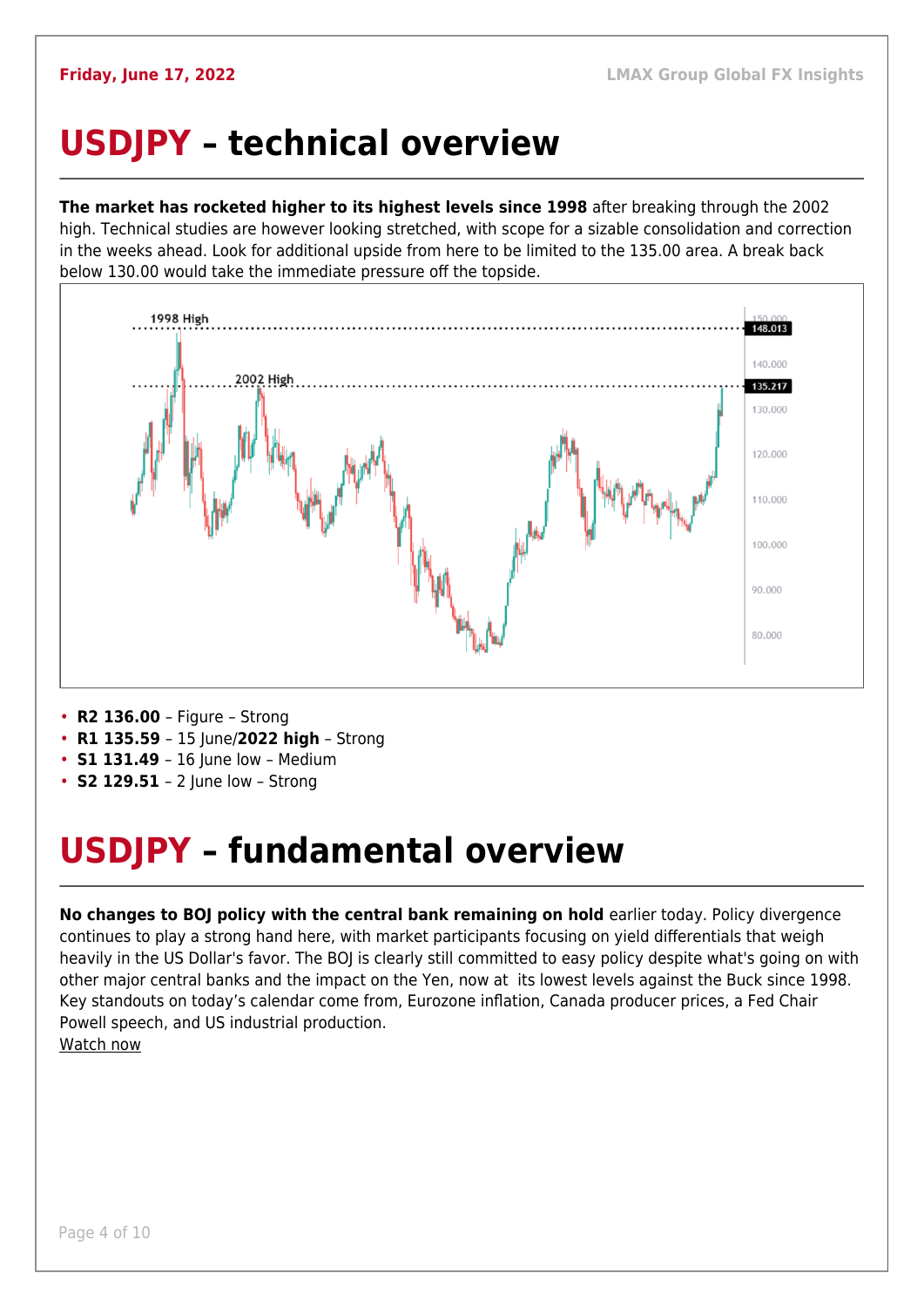## <span id="page-3-0"></span>**USDJPY – technical overview**

**The market has rocketed higher to its highest levels since 1998** after breaking through the 2002 high. Technical studies are however looking stretched, with scope for a sizable consolidation and correction in the weeks ahead. Look for additional upside from here to be limited to the 135.00 area. A break back below 130.00 would take the immediate pressure off the topside.



- **R2 136.00**  Figure Strong
- **R1 135.59**  15 June/**2022 high** Strong
- **S1 131.49** 16 June low Medium
- **S2 129.51**  2 June low Strong

## <span id="page-3-1"></span>**USDJPY – fundamental overview**

**No changes to BOJ policy with the central bank remaining on hold** earlier today. Policy divergence continues to play a strong hand here, with market participants focusing on yield differentials that weigh heavily in the US Dollar's favor. The BOJ is clearly still committed to easy policy despite what's going on with other major central banks and the impact on the Yen, now at its lowest levels against the Buck since 1998. Key standouts on today's calendar come from, Eurozone inflation, Canada producer prices, a Fed Chair Powell speech, and US industrial production. [Watch now](https://youtu.be/5iw8z8kH8EU)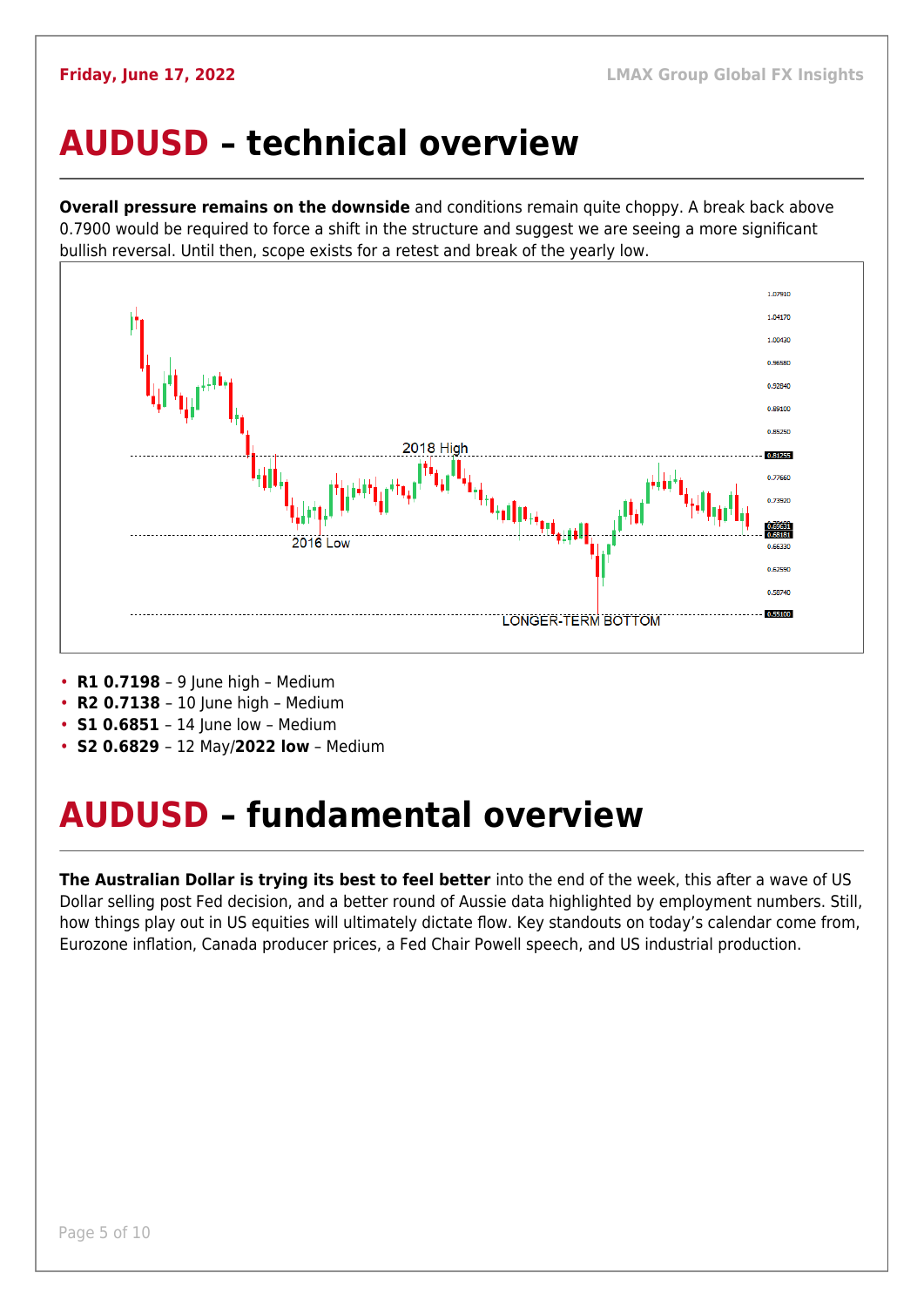### <span id="page-4-0"></span>**AUDUSD – technical overview**

**Overall pressure remains on the downside** and conditions remain quite choppy. A break back above 0.7900 would be required to force a shift in the structure and suggest we are seeing a more significant bullish reversal. Until then, scope exists for a retest and break of the yearly low.



- **R1 0.7198**  9 June high Medium
- **R2 0.7138**  10 June high Medium
- **S1 0.6851** 14 June low Medium
- **S2 0.6829**  12 May/**2022 low** Medium

## <span id="page-4-1"></span>**AUDUSD – fundamental overview**

**The Australian Dollar is trying its best to feel better** into the end of the week, this after a wave of US Dollar selling post Fed decision, and a better round of Aussie data highlighted by employment numbers. Still, how things play out in US equities will ultimately dictate flow. Key standouts on today's calendar come from, Eurozone inflation, Canada producer prices, a Fed Chair Powell speech, and US industrial production.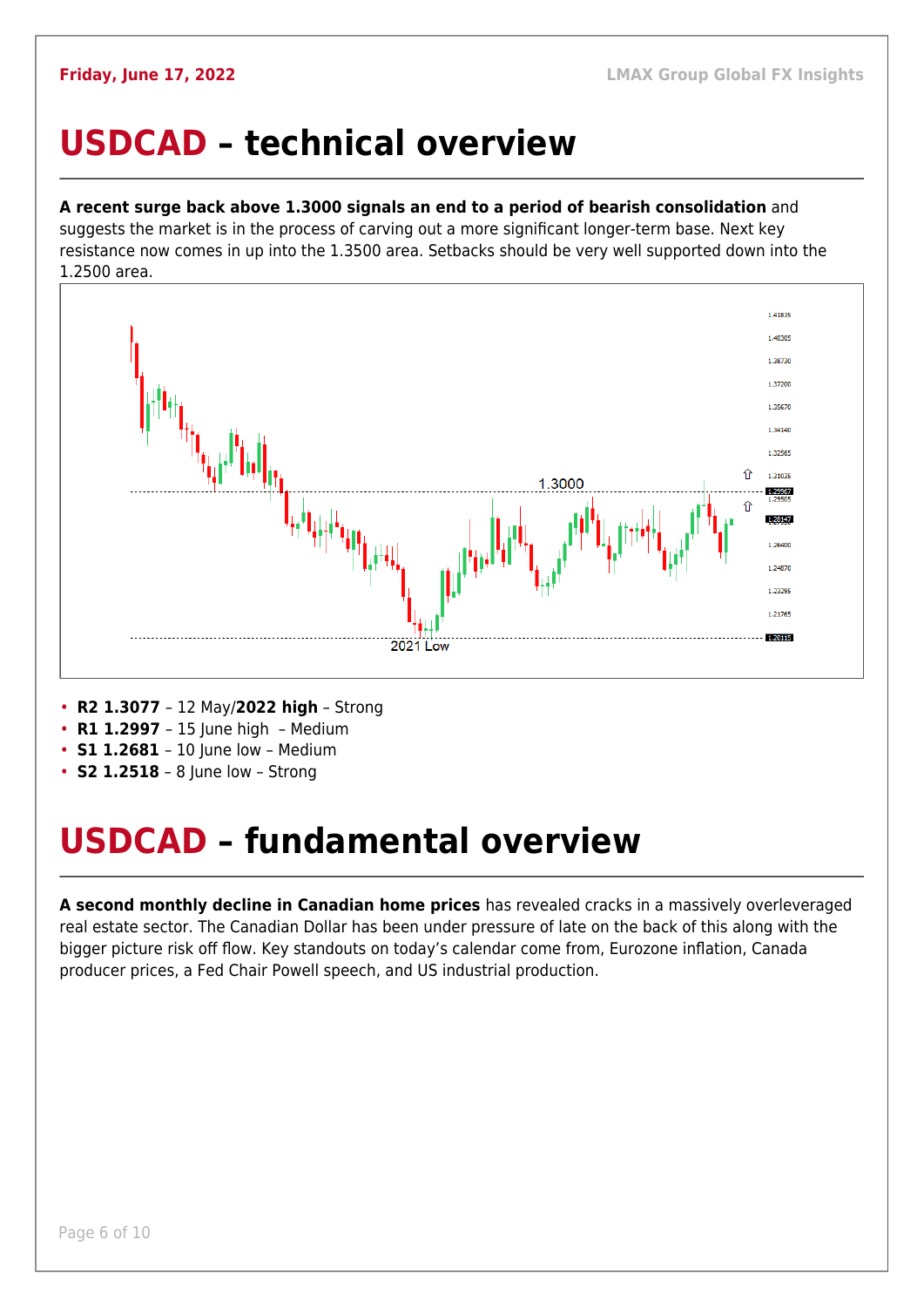### <span id="page-5-0"></span>**USDCAD – technical overview**

### **A recent surge back above 1.3000 signals an end to a period of bearish consolidation** and

suggests the market is in the process of carving out a more significant longer-term base. Next key resistance now comes in up into the 1.3500 area. Setbacks should be very well supported down into the 1.2500 area.



- **R2 1.3077**  12 May/**2022 high** Strong
- **R1 1.2997**  15 June high Medium
- **S1 1.2681**  10 June low Medium
- **S2 1.2518** 8 June low Strong

## <span id="page-5-1"></span>**USDCAD – fundamental overview**

**A second monthly decline in Canadian home prices** has revealed cracks in a massively overleveraged real estate sector. The Canadian Dollar has been under pressure of late on the back of this along with the bigger picture risk off flow. Key standouts on today's calendar come from, Eurozone inflation, Canada producer prices, a Fed Chair Powell speech, and US industrial production.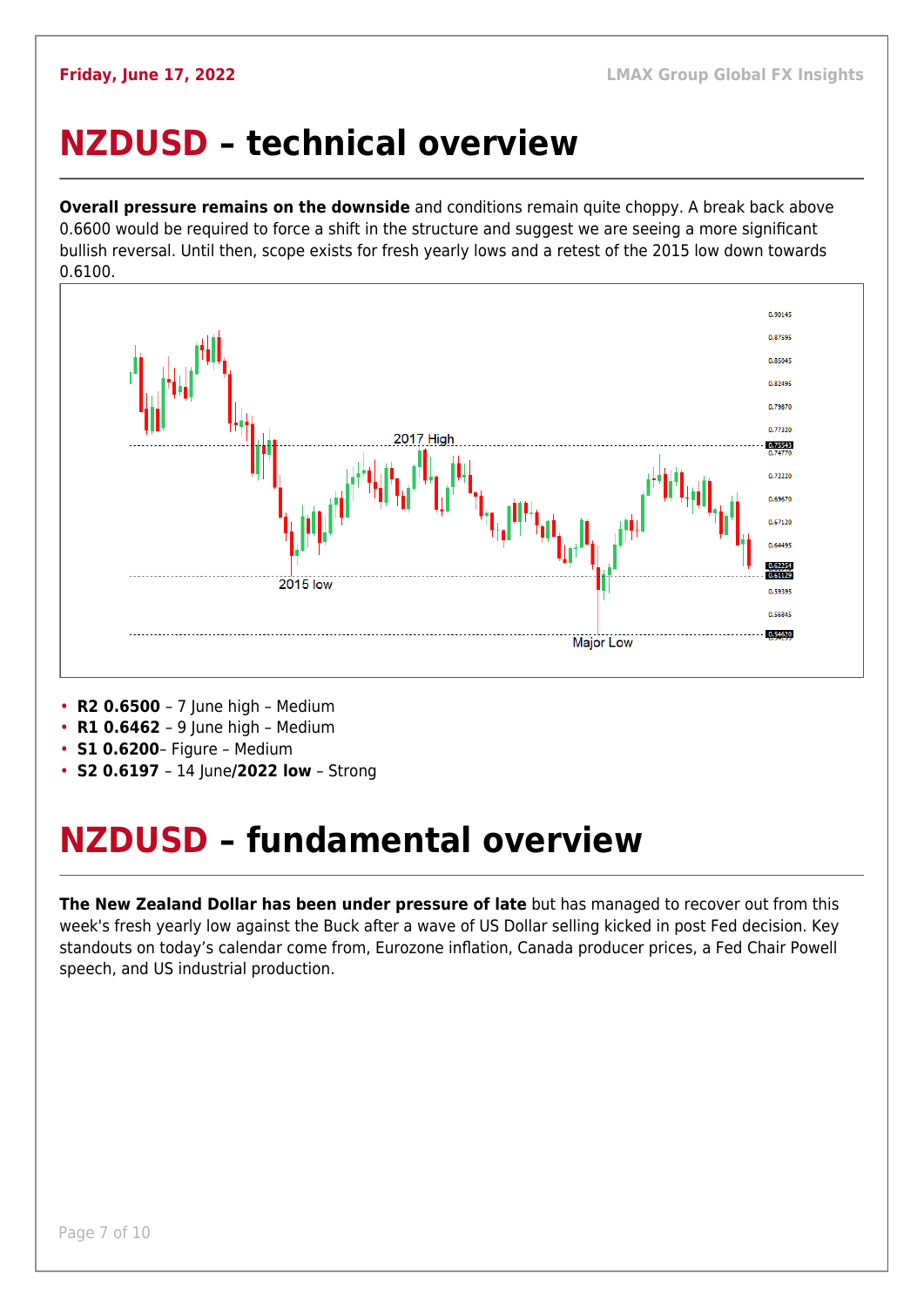## <span id="page-6-0"></span>**NZDUSD – technical overview**

**Overall pressure remains on the downside** and conditions remain quite choppy. A break back above 0.6600 would be required to force a shift in the structure and suggest we are seeing a more significant bullish reversal. Until then, scope exists for fresh yearly lows and a retest of the 2015 low down towards 0.6100.



• **R2 0.6500** – 7 June high – Medium

- **R1 0.6462**  9 June high Medium
- **S1 0.6200** Figure Medium
- **S2 0.6197**  14 June**/2022 low** Strong

## <span id="page-6-1"></span>**NZDUSD – fundamental overview**

**The New Zealand Dollar has been under pressure of late** but has managed to recover out from this week's fresh yearly low against the Buck after a wave of US Dollar selling kicked in post Fed decision. Key standouts on today's calendar come from, Eurozone inflation, Canada producer prices, a Fed Chair Powell speech, and US industrial production.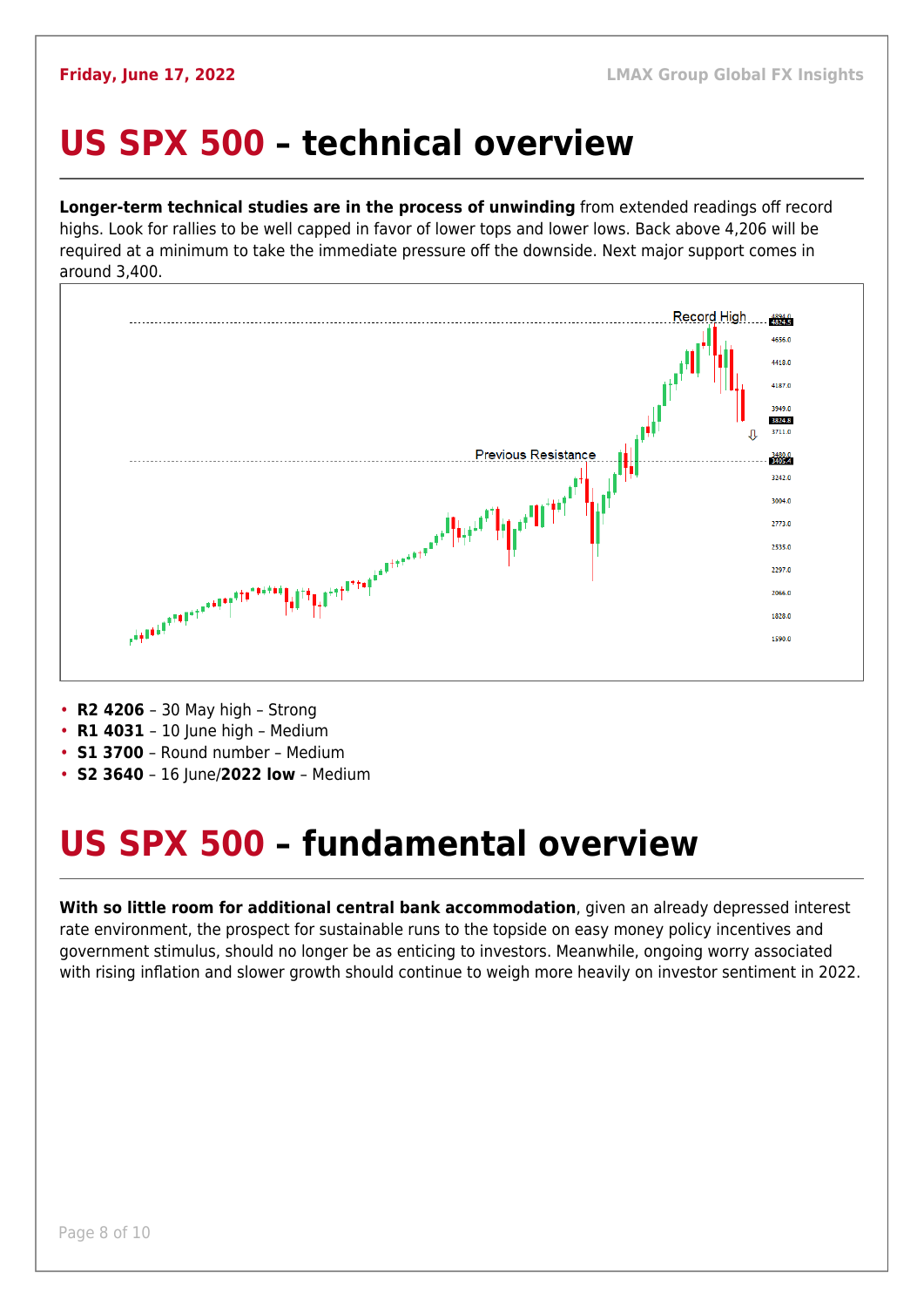### <span id="page-7-0"></span>**US SPX 500 – technical overview**

**Longer-term technical studies are in the process of unwinding** from extended readings off record highs. Look for rallies to be well capped in favor of lower tops and lower lows. Back above 4,206 will be required at a minimum to take the immediate pressure off the downside. Next major support comes in around 3,400.



- **R2 4206**  30 May high Strong
- **R1 4031**  10 June high Medium
- **S1 3700**  Round number Medium
- **S2 3640** 16 June/2022 low Medium

## <span id="page-7-1"></span>**US SPX 500 – fundamental overview**

**With so little room for additional central bank accommodation**, given an already depressed interest rate environment, the prospect for sustainable runs to the topside on easy money policy incentives and government stimulus, should no longer be as enticing to investors. Meanwhile, ongoing worry associated with rising inflation and slower growth should continue to weigh more heavily on investor sentiment in 2022.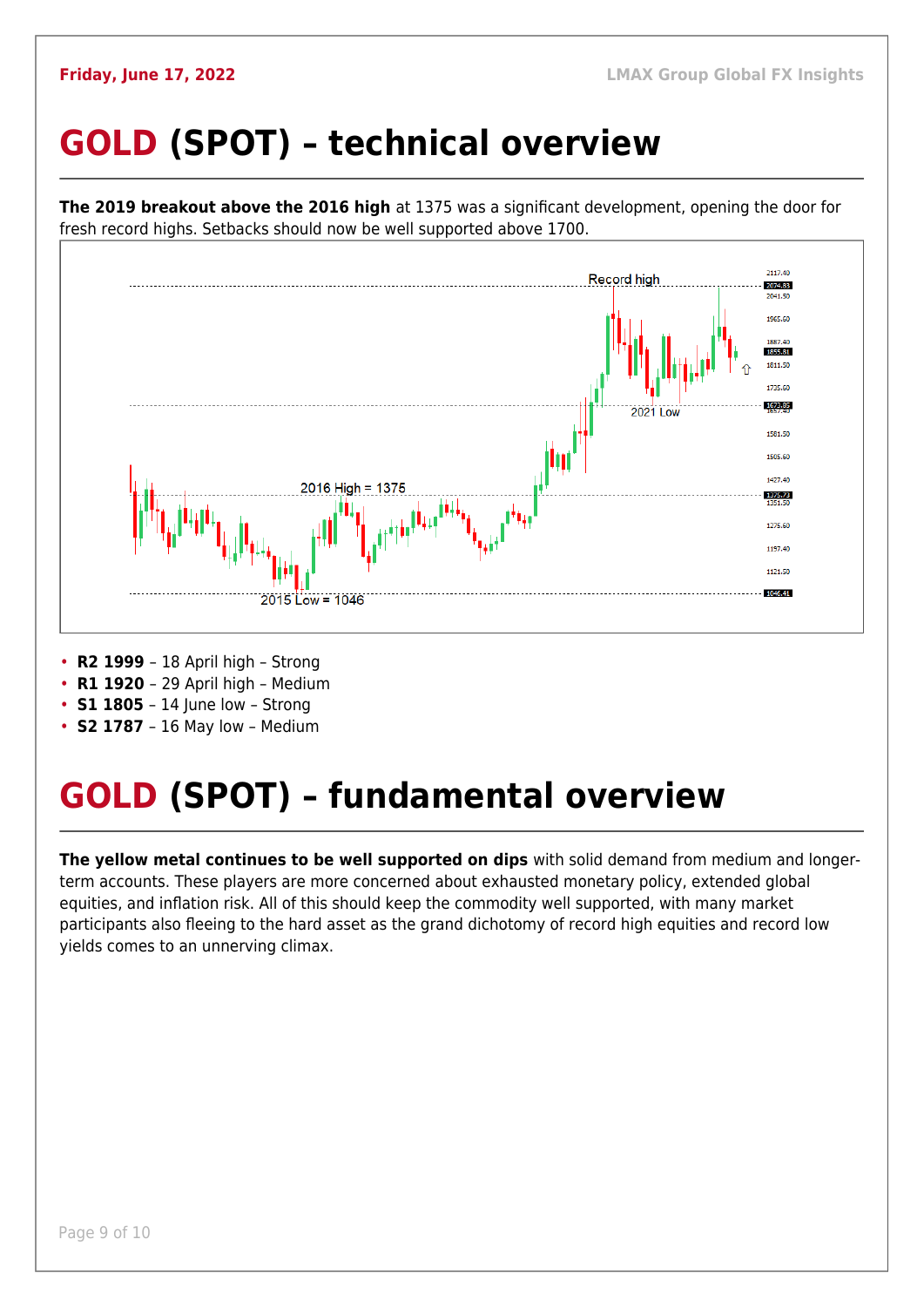## <span id="page-8-0"></span>**GOLD (SPOT) – technical overview**



• **S2 1787** – 16 May low – Medium

## <span id="page-8-1"></span>**GOLD (SPOT) – fundamental overview**

**The yellow metal continues to be well supported on dips** with solid demand from medium and longerterm accounts. These players are more concerned about exhausted monetary policy, extended global equities, and inflation risk. All of this should keep the commodity well supported, with many market participants also fleeing to the hard asset as the grand dichotomy of record high equities and record low yields comes to an unnerving climax.